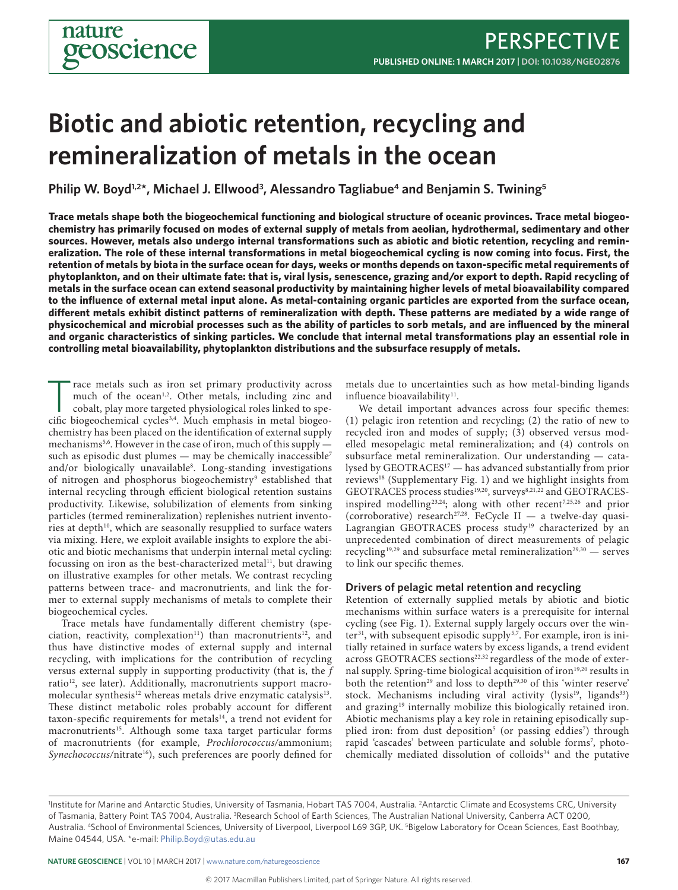# **Biotic and abiotic retention, recycling and remineralization of metals in the ocean**

Philip W. Boyd<sup>1,2\*</sup>, Michael J. Ellwood<sup>3</sup>, Alessandro Tagliabue<sup>4</sup> and Benjamin S. Twining<sup>5</sup>

**Trace metals shape both the biogeochemical functioning and biological structure of oceanic provinces. Trace metal biogeochemistry has primarily focused on modes of external supply of metals from aeolian, hydrothermal, sedimentary and other sources. However, metals also undergo internal transformations such as abiotic and biotic retention, recycling and remineralization. The role of these internal transformations in metal biogeochemical cycling is now coming into focus. First, the retention of metals by biota in the surface ocean for days, weeks or months depends on taxon-specific metal requirements of phytoplankton, and on their ultimate fate: that is, viral lysis, senescence, grazing and/or export to depth. Rapid recycling of metals in the surface ocean can extend seasonal productivity by maintaining higher levels of metal bioavailability compared to the influence of external metal input alone. As metal-containing organic particles are exported from the surface ocean, different metals exhibit distinct patterns of remineralization with depth. These patterns are mediated by a wide range of physicochemical and microbial processes such as the ability of particles to sorb metals, and are influenced by the mineral and organic characteristics of sinking particles. We conclude that internal metal transformations play an essential role in controlling metal bioavailability, phytoplankton distributions and the subsurface resupply of metals.**

Trace metals such as iron set primary productivity across<br>much of the ocean<sup>1,2</sup>. Other metals, including zinc and<br>cobalt, play more targeted physiological roles linked to spe-<br>cific biogeochemical cycles<sup>34</sup>. Much emphasi much of the ocean<sup>1,2</sup>. Other metals, including zinc and cobalt, play more targeted physiological roles linked to specific biogeochemical cycles<sup>3,4</sup>. Much emphasis in metal biogeochemistry has been placed on the identification of external supply mechanisms<sup>5,6</sup>. However in the case of iron, much of this supply such as episodic dust plumes — may be chemically inaccessible<sup>7</sup> and/or biologically unavailable<sup>8</sup>. Long-standing investigations of nitrogen and phosphorus biogeochemistry<sup>9</sup> established that internal recycling through efficient biological retention sustains productivity. Likewise, solubilization of elements from sinking particles (termed remineralization) replenishes nutrient inventories at depth<sup>10</sup>, which are seasonally resupplied to surface waters via mixing. Here, we exploit available insights to explore the abiotic and biotic mechanisms that underpin internal metal cycling: focussing on iron as the best-characterized metal<sup>11</sup>, but drawing on illustrative examples for other metals. We contrast recycling patterns between trace- and macronutrients, and link the former to external supply mechanisms of metals to complete their biogeochemical cycles.

Trace metals have fundamentally different chemistry (speciation, reactivity, complexation<sup>11</sup>) than macronutrients<sup>12</sup>, and thus have distinctive modes of external supply and internal recycling, with implications for the contribution of recycling versus external supply in supporting productivity (that is, the *f* ratio<sup>12</sup>, see later). Additionally, macronutrients support macromolecular synthesis<sup>12</sup> whereas metals drive enzymatic catalysis<sup>13</sup>. These distinct metabolic roles probably account for different taxon-specific requirements for metals<sup>14</sup>, a trend not evident for macronutrients<sup>15</sup>. Although some taxa target particular forms of macronutrients (for example, *Prochlorococcus/*ammonium; Synechococcus/nitrate<sup>16</sup>), such preferences are poorly defined for

metals due to uncertainties such as how metal-binding ligands influence bioavailability<sup>11</sup>.

We detail important advances across four specific themes: (1) pelagic iron retention and recycling; (2) the ratio of new to recycled iron and modes of supply; (3) observed versus modelled mesopelagic metal remineralization; and (4) controls on subsurface metal remineralization. Our understanding — catalysed by GEOTRACES17 — has advanced substantially from prior reviews<sup>18</sup> (Supplementary Fig. 1) and we highlight insights from GEOTRACES process studies<sup>19,20</sup>, surveys<sup>8,21,22</sup> and GEOTRACESinspired modelling<sup>23,24</sup>; along with other recent<sup>7,25,26</sup> and prior (corroborative) research<sup>27,28</sup>. FeCycle II — a twelve-day quasi-Lagrangian GEOTRACES process study<sup>19</sup> characterized by an unprecedented combination of direct measurements of pelagic recycling<sup>19,29</sup> and subsurface metal remineralization<sup>29,30</sup> - serves to link our specific themes.

### **Drivers of pelagic metal retention and recycling**

Retention of externally supplied metals by abiotic and biotic mechanisms within surface waters is a prerequisite for internal cycling (see Fig. 1). External supply largely occurs over the winter<sup>31</sup>, with subsequent episodic supply<sup>5,7</sup>. For example, iron is initially retained in surface waters by excess ligands, a trend evident across GEOTRACES sections<sup>22,32</sup> regardless of the mode of external supply. Spring-time biological acquisition of iron<sup>19,20</sup> results in both the retention<sup>29</sup> and loss to depth<sup>29,30</sup> of this 'winter reserve' stock. Mechanisms including viral activity (lysis<sup>19</sup>, ligands<sup>33</sup>) and grazing<sup>19</sup> internally mobilize this biologically retained iron. Abiotic mechanisms play a key role in retaining episodically supplied iron: from dust deposition<sup>5</sup> (or passing eddies<sup>7</sup>) through rapid 'cascades' between particulate and soluble forms<sup>7</sup>, photochemically mediated dissolution of colloids<sup>34</sup> and the putative

Institute for Marine and Antarctic Studies, University of Tasmania, Hobart TAS 7004, Australia. <sup>2</sup>Antarctic Climate and Ecosystems CRC, University of Tasmania, Battery Point TAS 7004, Australia. <sup>3</sup>Research School of Earth Sciences, The Australian National University, Canberra ACT 0200, Australia. <sup>4</sup>School of Environmental Sciences, University of Liverpool, Liverpool L69 3GP, UK. <sup>5</sup>Bigelow Laboratory for Ocean Sciences, East Boothbay, Maine 04544, USA. \*e-mail: [Philip.Boyd@utas.edu.au](mailto:Philip.Boyd@utas.edu.au)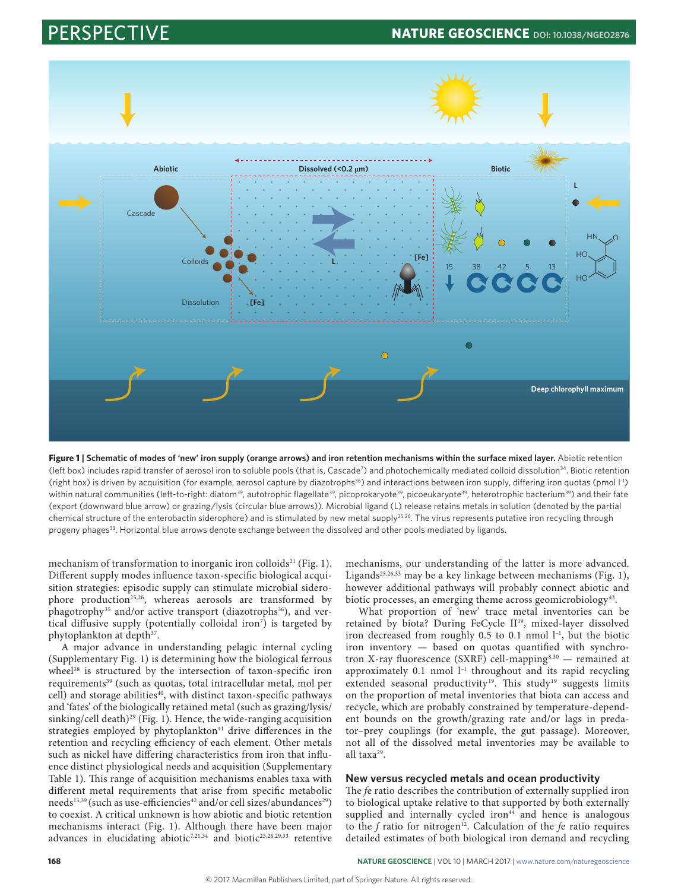

Figure 1 | Schematic of modes of 'new' iron supply (orange arrows) and iron retention mechanisms within the surface mixed layer. Abiotic retention (left box) includes rapid transfer of aerosol iron to soluble pools (that is, Cascade<sup>7</sup>) and photochemically mediated colloid dissolution<sup>34</sup>. Biotic retention (right box) is driven by acquisition (for example, aerosol capture by diazotrophs<sup>36</sup>) and interactions between iron supply, differing iron quotas (pmol  $\vert \cdot \vert$ ) within natural communities (left-to-right: diatom<sup>39</sup>, autotrophic flagellate<sup>39</sup>, picoprokaryote<sup>39</sup>, picoeukaryote<sup>39</sup>, heterotrophic bacterium<sup>39</sup>) and their fate (export (downward blue arrow) or grazing/lysis (circular blue arrows)). Microbial ligand (L) release retains metals in solution (denoted by the partial chemical structure of the enterobactin siderophore) and is stimulated by new metal supply<sup>25,26</sup>. The virus represents putative iron recycling through progeny phages<sup>33</sup>. Horizontal blue arrows denote exchange between the dissolved and other pools mediated by ligands.

mechanism of transformation to inorganic iron colloids<sup>21</sup> (Fig. 1). Different supply modes influence taxon-specific biological acquisition strategies: episodic supply can stimulate microbial siderophore production<sup>25,26</sup>, whereas aerosols are transformed by phagotrophy<sup>35</sup> and/or active transport (diazotrophs<sup>36</sup>), and vertical diffusive supply (potentially colloidal iron7 ) is targeted by phytoplankton at depth<sup>37</sup>.

A major advance in understanding pelagic internal cycling (Supplementary Fig. 1) is determining how the biological ferrous wheel<sup>38</sup> is structured by the intersection of taxon-specific iron requirements<sup>39</sup> (such as quotas, total intracellular metal, mol per cell) and storage abilities<sup>40</sup>, with distinct taxon-specific pathways and 'fates' of the biologically retained metal (such as grazing/lysis/ sinking/cell death)<sup>29</sup> (Fig. 1). Hence, the wide-ranging acquisition strategies employed by phytoplankton<sup>41</sup> drive differences in the retention and recycling efficiency of each element. Other metals such as nickel have differing characteristics from iron that influence distinct physiological needs and acquisition (Supplementary Table 1). This range of acquisition mechanisms enables taxa with different metal requirements that arise from specific metabolic needs<sup>13,39</sup> (such as use-efficiencies<sup>42</sup> and/or cell sizes/abundances<sup>29</sup>) to coexist. A critical unknown is how abiotic and biotic retention mechanisms interact (Fig. 1). Although there have been major advances in elucidating abiotic<sup>7,21,34</sup> and biotic<sup>25,26,29,33</sup> retentive

mechanisms, our understanding of the latter is more advanced. Ligands<sup>25,26,33</sup> may be a key linkage between mechanisms (Fig. 1), however additional pathways will probably connect abiotic and biotic processes, an emerging theme across geomicrobiology<sup>43</sup>.

What proportion of 'new' trace metal inventories can be retained by biota? During FeCycle II<sup>19</sup>, mixed-layer dissolved iron decreased from roughly  $0.5$  to  $0.1$  nmol  $l^{-1}$ , but the biotic iron inventory — based on quotas quantified with synchrotron X-ray fluorescence (SXRF) cell-mapping8,30 — remained at approximately  $0.1$  nmol  $l^{-1}$  throughout and its rapid recycling extended seasonal productivity<sup>19</sup>. This study<sup>19</sup> suggests limits on the proportion of metal inventories that biota can access and recycle, which are probably constrained by temperature-dependent bounds on the growth/grazing rate and/or lags in predator–prey couplings (for example, the gut passage). Moreover, not all of the dissolved metal inventories may be available to all taxa29.

### **New versus recycled metals and ocean productivity**

The *f*e ratio describes the contribution of externally supplied iron to biological uptake relative to that supported by both externally supplied and internally cycled iron<sup>44</sup> and hence is analogous to the *f* ratio for nitrogen<sup>12</sup>. Calculation of the *fe* ratio requires detailed estimates of both biological iron demand and recycling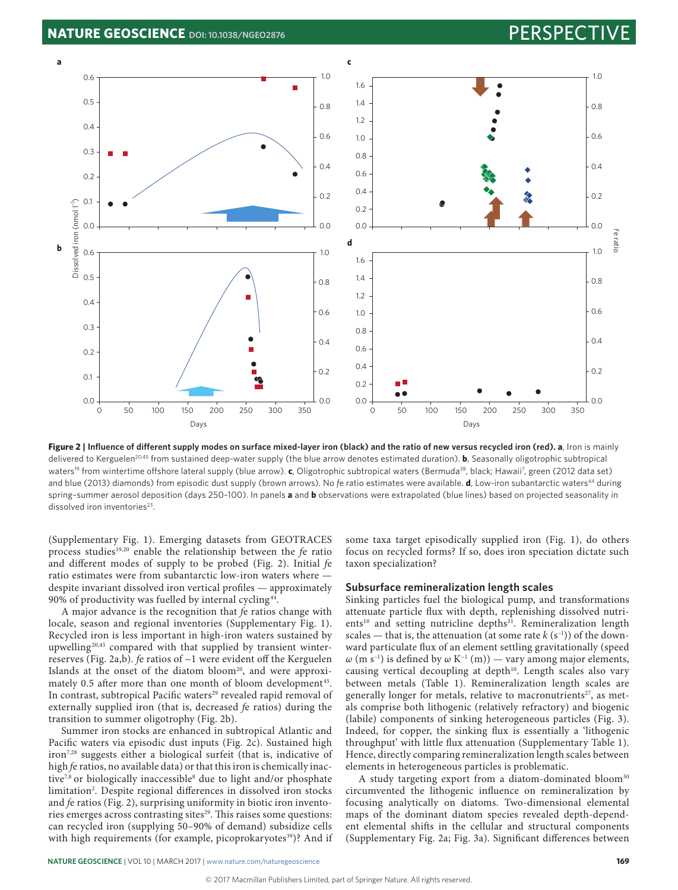

**Figure 2 | Influence of different supply modes on surface mixed-layer iron (black) and the ratio of new versus recycled iron (red). a**, Iron is mainly delivered to Kerguelen<sup>20,45</sup> from sustained deep-water supply (the blue arrow denotes estimated duration). **b**, Seasonally oligotrophic subtropical waters<sup>19</sup> from wintertime offshore lateral supply (blue arrow). **c**, Oligotrophic subtropical waters (Bermuda<sup>28</sup>, black; Hawaii<sup>7</sup>, green (2012 data set) and blue (2013) diamonds) from episodic dust supply (brown arrows). No fe ratio estimates were available. **d**, Low-iron subantarctic waters<sup>44</sup> during spring–summer aerosol deposition (days 250–100). In panels **a** and **b** observations were extrapolated (blue lines) based on projected seasonality in dissolved iron inventories<sup>23</sup>.

(Supplementary Fig. 1). Emerging datasets from GEOTRACES process studies19,20 enable the relationship between the *f*e ratio and different modes of supply to be probed (Fig. 2). Initial *f*e ratio estimates were from subantarctic low-iron waters where despite invariant dissolved iron vertical profiles — approximately 90% of productivity was fuelled by internal cycling<sup>44</sup>.

A major advance is the recognition that *f*e ratios change with locale, season and regional inventories (Supplementary Fig. 1). Recycled iron is less important in high-iron waters sustained by upwelling<sup>20,45</sup> compared with that supplied by transient winterreserves (Fig. 2a,b). *f*e ratios of ~1 were evident off the Kerguelen Islands at the onset of the diatom bloom<sup>20</sup>, and were approximately 0.5 after more than one month of bloom development<sup>45</sup>. In contrast, subtropical Pacific waters<sup>29</sup> revealed rapid removal of externally supplied iron (that is, decreased *f*e ratios) during the transition to summer oligotrophy (Fig. 2b).

Summer iron stocks are enhanced in subtropical Atlantic and Pacific waters via episodic dust inputs (Fig. 2c). Sustained high iron7,28 suggests either a biological surfeit (that is, indicative of high *f*e ratios, no available data) or that this iron is chemically inactive7,8 or biologically inaccessible8 due to light and/or phosphate limitation2 . Despite regional differences in dissolved iron stocks and *f*e ratios (Fig. 2), surprising uniformity in biotic iron inventories emerges across contrasting sites<sup>29</sup>. This raises some questions: can recycled iron (supplying 50–90% of demand) subsidize cells with high requirements (for example, picoprokaryotes<sup>39</sup>)? And if

some taxa target episodically supplied iron (Fig. 1), do others focus on recycled forms? If so, does iron speciation dictate such taxon specialization?

#### **Subsurface remineralization length scales**

Sinking particles fuel the biological pump, and transformations attenuate particle flux with depth, replenishing dissolved nutrients<sup>10</sup> and setting nutricline depths<sup>31</sup>. Remineralization length scales — that is, the attenuation (at some rate  $k(s^{-1})$ ) of the downward particulate flux of an element settling gravitationally (speed  $ω$  (m s<sup>-1</sup>) is defined by  $ω$  K<sup>-1</sup> (m)) — vary among major elements, causing vertical decoupling at depth<sup>10</sup>. Length scales also vary between metals (Table 1). Remineralization length scales are generally longer for metals, relative to macronutrients<sup>27</sup>, as metals comprise both lithogenic (relatively refractory) and biogenic (labile) components of sinking heterogeneous particles (Fig. 3). Indeed, for copper, the sinking flux is essentially a 'lithogenic throughput' with little flux attenuation (Supplementary Table 1). Hence, directly comparing remineralization length scales between elements in heterogeneous particles is problematic.

A study targeting export from a diatom-dominated bloom<sup>30</sup> circumvented the lithogenic influence on remineralization by focusing analytically on diatoms. Two-dimensional elemental maps of the dominant diatom species revealed depth-dependent elemental shifts in the cellular and structural components (Supplementary Fig. 2a; Fig. 3a). Significant differences between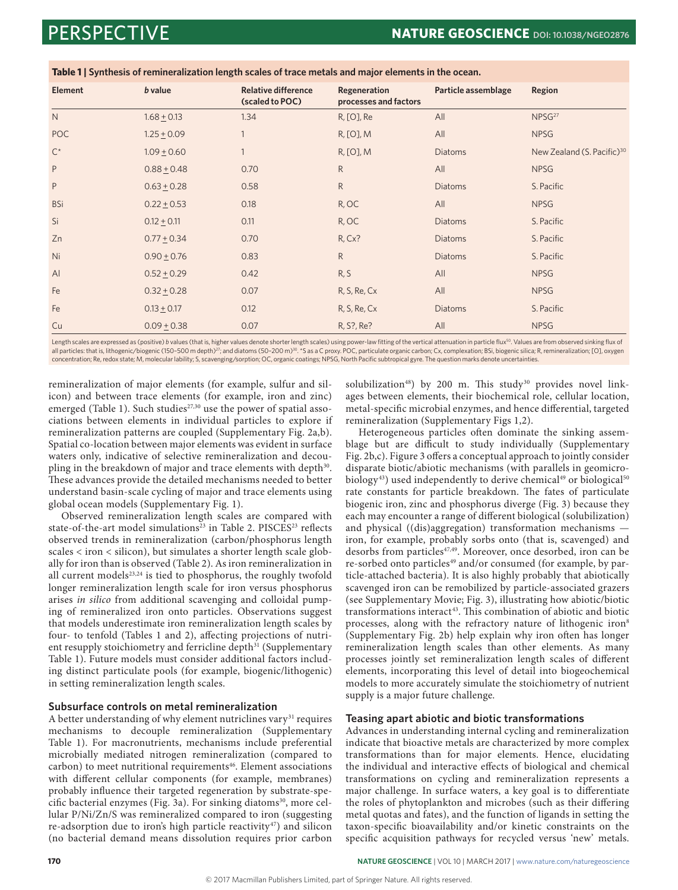| <b>Element</b>     | <b>b</b> value  | <b>Relative difference</b><br>(scaled to POC) | Regeneration<br>processes and factors | Particle assemblage | Region                                 |
|--------------------|-----------------|-----------------------------------------------|---------------------------------------|---------------------|----------------------------------------|
| $\mathsf{N}$       | $1.68 \pm 0.13$ | 1.34                                          | R, [O], Re                            | All                 | NPSG <sup>27</sup>                     |
| <b>POC</b>         | $1.25 \pm 0.09$ |                                               | R, [O], M                             | All                 | <b>NPSG</b>                            |
| $\mathsf{C}^\star$ | $1.09 + 0.60$   |                                               | R, [O], M                             | Diatoms             | New Zealand (S. Pacific) <sup>30</sup> |
| P                  | $0.88 + 0.48$   | 0.70                                          | $\mathsf{R}$                          | All                 | <b>NPSG</b>                            |
| P                  | $0.63 \pm 0.28$ | 0.58                                          | $\mathsf{R}$                          | <b>Diatoms</b>      | S. Pacific                             |
| <b>BSi</b>         | $0.22 \pm 0.53$ | 0.18                                          | R, OC                                 | All                 | <b>NPSG</b>                            |
| Si                 | $0.12 \pm 0.11$ | 0.11                                          | R, OC                                 | <b>Diatoms</b>      | S. Pacific                             |
| Zn                 | $0.77 \pm 0.34$ | 0.70                                          | $R, Cx$ ?                             | Diatoms             | S. Pacific                             |
| Ni                 | $0.90 + 0.76$   | 0.83                                          | $\mathsf{R}$                          | <b>Diatoms</b>      | S. Pacific                             |
| AI                 | $0.52 + 0.29$   | 0.42                                          | R, S                                  | All                 | <b>NPSG</b>                            |
| Fe                 | $0.32 \pm 0.28$ | 0.07                                          | R, S, Re, Cx                          | All                 | <b>NPSG</b>                            |
| Fe                 | $0.13 \pm 0.17$ | 0.12                                          | R, S, Re, Cx                          | Diatoms             | S. Pacific                             |
| Cu                 | $0.09 \pm 0.38$ | 0.07                                          | R, S?, Re?                            | All                 | <b>NPSG</b>                            |

**Table 1 | Synthesis of remineralization length scales of trace metals and major elements in the ocean.**

Length scales are expressed as (positive) *b* values (that is, higher values denote shorter length scales) using power-law fitting of the vertical attenuation in particle flux<sup>50</sup>. Values are from observed sinking flux of all particles: that is, lithogenic/biogenic (150-500 m depth)<sup>27</sup>; and diatoms (50-200 m)<sup>30</sup>. \*S as a C proxy. POC, particulate organic carbon; Cx, complexation; BSi, biogenic silica; R, remineralization; [O], oxygen concentration; Re, redox state; M, molecular lability; S, scavenging/sorption; OC, organic coatings; NPSG, North Pacific subtropical gyre. The question marks denote uncertainties.

remineralization of major elements (for example, sulfur and silicon) and between trace elements (for example, iron and zinc) emerged (Table 1). Such studies<sup>27,30</sup> use the power of spatial associations between elements in individual particles to explore if remineralization patterns are coupled (Supplementary Fig. 2a,b). Spatial co-location between major elements was evident in surface waters only, indicative of selective remineralization and decoupling in the breakdown of major and trace elements with depth<sup>30</sup>. These advances provide the detailed mechanisms needed to better understand basin-scale cycling of major and trace elements using global ocean models (Supplementary Fig. 1).

Observed remineralization length scales are compared with state-of-the-art model simulations<sup>23</sup> in Table 2. PISCES<sup>23</sup> reflects observed trends in remineralization (carbon/phosphorus length scales < iron < silicon), but simulates a shorter length scale globally for iron than is observed (Table 2). As iron remineralization in all current models<sup>23,24</sup> is tied to phosphorus, the roughly twofold longer remineralization length scale for iron versus phosphorus arises *in silico* from additional scavenging and colloidal pumping of remineralized iron onto particles. Observations suggest that models underestimate iron remineralization length scales by four- to tenfold (Tables 1 and 2), affecting projections of nutrient resupply stoichiometry and ferricline depth<sup>31</sup> (Supplementary Table 1). Future models must consider additional factors including distinct particulate pools (for example, biogenic/lithogenic) in setting remineralization length scales.

### **Subsurface controls on metal remineralization**

A better understanding of why element nutriclines vary $31$  requires mechanisms to decouple remineralization (Supplementary Table 1). For macronutrients, mechanisms include preferential microbially mediated nitrogen remineralization (compared to carbon) to meet nutritional requirements<sup>46</sup>. Element associations with different cellular components (for example, membranes) probably influence their targeted regeneration by substrate-specific bacterial enzymes (Fig. 3a). For sinking diatoms<sup>30</sup>, more cellular P/Ni/Zn/S was remineralized compared to iron (suggesting re-adsorption due to iron's high particle reactivity<sup>47</sup>) and silicon (no bacterial demand means dissolution requires prior carbon

solubilization<sup>48</sup>) by 200 m. This study<sup>30</sup> provides novel linkages between elements, their biochemical role, cellular location, metal-specific microbial enzymes, and hence differential, targeted remineralization (Supplementary Figs 1,2).

Heterogeneous particles often dominate the sinking assemblage but are difficult to study individually (Supplementary Fig. 2b,c). Figure 3 offers a conceptual approach to jointly consider disparate biotic/abiotic mechanisms (with parallels in geomicrobiology<sup>43</sup>) used independently to derive chemical<sup>49</sup> or biological<sup>50</sup> rate constants for particle breakdown. The fates of particulate biogenic iron, zinc and phosphorus diverge (Fig. 3) because they each may encounter a range of different biological (solubilization) and physical ((dis)aggregation) transformation mechanisms iron, for example, probably sorbs onto (that is, scavenged) and desorbs from particles<sup>47,49</sup>. Moreover, once desorbed, iron can be re-sorbed onto particles<sup>49</sup> and/or consumed (for example, by particle-attached bacteria). It is also highly probably that abiotically scavenged iron can be remobilized by particle-associated grazers (see Supplementary Movie; Fig. 3), illustrating how abiotic/biotic transformations interact<sup>43</sup>. This combination of abiotic and biotic processes, along with the refractory nature of lithogenic iron<sup>8</sup> (Supplementary Fig. 2b) help explain why iron often has longer remineralization length scales than other elements. As many processes jointly set remineralization length scales of different elements, incorporating this level of detail into biogeochemical models to more accurately simulate the stoichiometry of nutrient supply is a major future challenge.

### **Teasing apart abiotic and biotic transformations**

Advances in understanding internal cycling and remineralization indicate that bioactive metals are characterized by more complex transformations than for major elements. Hence, elucidating the individual and interactive effects of biological and chemical transformations on cycling and remineralization represents a major challenge. In surface waters, a key goal is to differentiate the roles of phytoplankton and microbes (such as their differing metal quotas and fates), and the function of ligands in setting the taxon-specific bioavailability and/or kinetic constraints on the specific acquisition pathways for recycled versus 'new' metals.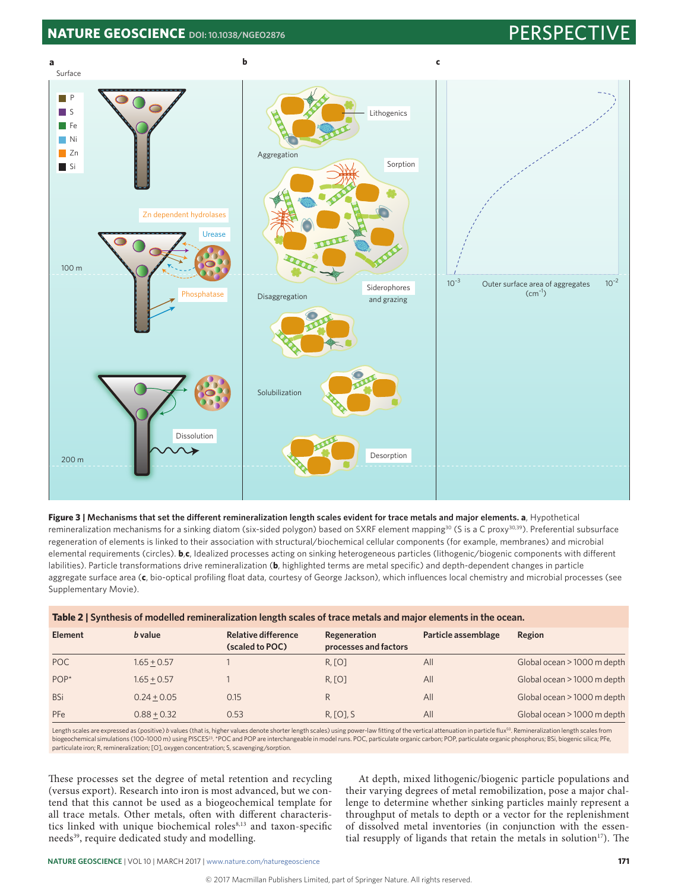## **NATURE GEOSCIENCE** [DOI: 10.1038/NGEO2876](http://dx.doi.org/10.1038/ngeo2876) **PERSPECTIVE PERSPECTIVE**



**Figure 3 | Mechanisms that set the different remineralization length scales evident for trace metals and major elements. a**, Hypothetical remineralization mechanisms for a sinking diatom (six-sided polygon) based on SXRF element mapping<sup>30</sup> (S is a C proxy<sup>30,39</sup>). Preferential subsurface regeneration of elements is linked to their association with structural/biochemical cellular components (for example, membranes) and microbial elemental requirements (circles). **b**,**c**, Idealized processes acting on sinking heterogeneous particles (lithogenic/biogenic components with different labilities). Particle transformations drive remineralization (**b**, highlighted terms are metal specific) and depth-dependent changes in particle aggregate surface area (**c**, bio-optical profiling float data, courtesy of George Jackson), which influences local chemistry and microbial processes (see Supplementary Movie).

| <b>Element</b> | <i>b</i> value | Relative difference<br>(scaled to POC) | Regeneration<br>processes and factors | Particle assemblage | Region                      |
|----------------|----------------|----------------------------------------|---------------------------------------|---------------------|-----------------------------|
| <b>POC</b>     | $1.65 + 0.57$  |                                        | R, [O]                                | All                 | Global ocean > 1000 m depth |
| $POP*$         | $1.65 + 0.57$  |                                        | R, [O]                                | All                 | Global ocean > 1000 m depth |
| <b>BSi</b>     | $0.24 + 0.05$  | 0.15                                   | R                                     | All                 | Global ocean > 1000 m depth |
| PFe            | $0.88 + 0.32$  | 0.53                                   | R, [O], S                             | All                 | Global ocean > 1000 m depth |

Length scales are expressed as (positive) b values (that is, higher values denote shorter length scales) using power-law fitting of the vertical attenuation in particle flux<sup>50</sup>. Remineralization length scales from<br>biogeoc particulate iron; R, remineralization; [O], oxygen concentration; S, scavenging/sorption.

These processes set the degree of metal retention and recycling (versus export). Research into iron is most advanced, but we contend that this cannot be used as a biogeochemical template for all trace metals. Other metals, often with different characteristics linked with unique biochemical roles<sup>8,13</sup> and taxon-specific needs<sup>39</sup>, require dedicated study and modelling.

At depth, mixed lithogenic/biogenic particle populations and their varying degrees of metal remobilization, pose a major challenge to determine whether sinking particles mainly represent a throughput of metals to depth or a vector for the replenishment of dissolved metal inventories (in conjunction with the essential resupply of ligands that retain the metals in solution<sup>17</sup>). The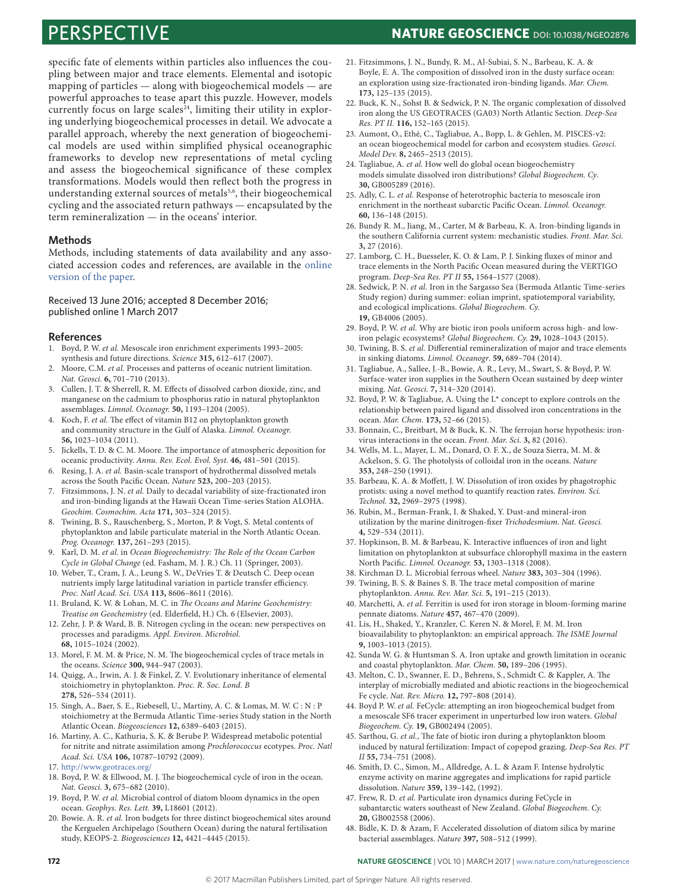specific fate of elements within particles also influences the coupling between major and trace elements. Elemental and isotopic mapping of particles — along with biogeochemical models — are powerful approaches to tease apart this puzzle. However, models currently focus on large scales<sup>24</sup>, limiting their utility in exploring underlying biogeochemical processes in detail. We advocate a parallel approach, whereby the next generation of biogeochemical models are used within simplified physical oceanographic frameworks to develop new representations of metal cycling and assess the biogeochemical significance of these complex transformations. Models would then reflect both the progress in understanding external sources of metals<sup>5,6</sup>, their biogeochemical cycling and the associated return pathways — encapsulated by the term remineralization — in the oceans' interior.

#### **Methods**

Methods, including statements of data availability and any associated accession codes and references, are available in the [online](http://dx.doi.org/10.1038/ngeo2876)  [version of the paper.](http://dx.doi.org/10.1038/ngeo2876)

#### Received 13 June 2016; accepted 8 December 2016; published online 1 March 2017

#### **References**

- 1. Boyd, P. W. *et al.* Mesoscale iron enrichment experiments 1993–2005: synthesis and future directions. *Science* **315,** 612–617 (2007).
- 2. Moore, C.M. *et al.* Processes and patterns of oceanic nutrient limitation. *Nat. Geosci.* **6,** 701–710 (2013).
- 3. Cullen, J. T. & Sherrell, R. M. Effects of dissolved carbon dioxide, zinc, and manganese on the cadmium to phosphorus ratio in natural phytoplankton assemblages. *Limnol*. *Oceanogr.* **50,** 1193–1204 (2005).
- 4. Koch, F. *et al.* The effect of vitamin B12 on phytoplankton growth and community structure in the Gulf of Alaska. *Limnol. Oceanogr.* **56,** 1023–1034 (2011).
- 5. Jickells, T. D. & C. M. Moore. The importance of atmospheric deposition for oceanic productivity. *Annu. Rev. Ecol. Evol. Syst.* **46,** 481–501 (2015).
- 6. Resing, J. A. *et al.* Basin-scale transport of hydrothermal dissolved metals across the South Pacific Ocean. *Nature* **523,** 200–203 (2015).
- 7. Fitzsimmons, J. N. *et al.* Daily to decadal variability of size-fractionated iron and iron-binding ligands at the Hawaii Ocean Time-series Station ALOHA. *Geochim. Cosmochim. Acta* **171,** 303–324 (2015).
- Twining, B. S., Rauschenberg, S., Morton, P. & Vogt, S. Metal contents of phytoplankton and labile particulate material in the North Atlantic Ocean. *Prog. Oceanogr.* **137,** 261–293 (2015).
- 9. Karl, D. M. *et al.* in *Ocean Biogeochemistry: The Role of the Ocean Carbon Cycle in Global Change* (ed. Fasham, M. J. R.) Ch. 11 (Springer, 2003).
- 10. Weber, T., Cram, J. A., Leung S. W., DeVries T. & Deutsch C. Deep ocean nutrients imply large latitudinal variation in particle transfer efficiency. *Proc. Natl Acad. Sci. USA* **113,** 8606–8611 (2016).
- 11. Bruland, K. W. & Lohan, M. C. in *The Oceans and Marine Geochemistry: Treatise on Geochemistry* (ed. Elderfield, H.) Ch. 6 (Elsevier, 2003).
- 12. Zehr, J. P. & Ward, B. B. Nitrogen cycling in the ocean: new perspectives on processes and paradigms. *Appl. Environ. Microbiol.* **68,** 1015–1024 (2002).
- 13. Morel, F. M. M. & Price, N. M. The biogeochemical cycles of trace metals in the oceans. *Science* **300,** 944–947 (2003).
- 14. Quigg, A., Irwin, A. J. & Finkel, Z. V. Evolutionary inheritance of elemental stoichiometry in phytoplankton. *Proc. R. Soc. Lond. B* **278,** 526–534 (2011).
- 15. Singh, A., Baer, S. E., Riebesell, U., Martiny, A. C. & Lomas, M. W. C : N : P stoichiometry at the Bermuda Atlantic Time-series Study station in the North Atlantic Ocean. *Biogeosciences* **12,** 6389–6403 (2015).
- 16. Martiny, A. C., Kathuria, S. K. & Berube P. Widespread metabolic potential for nitrite and nitrate assimilation among *Prochlorococcus* ecotypes. *Proc. Natl Acad. Sci. USA* **106,** 10787–10792 (2009).
- 17. <http://www.geotraces.org/>
- 18. Boyd, P. W. & Ellwood, M. J. The biogeochemical cycle of iron in the ocean. *Nat. Geosci.* **3,** 675–682 (2010).
- 19. Boyd, P. W. *et al.* Microbial control of diatom bloom dynamics in the open ocean. *Geophys. Res. Lett.* **39,** L18601 (2012).
- 20. Bowie. A. R. *et al.* Iron budgets for three distinct biogeochemical sites around the Kerguelen Archipelago (Southern Ocean) during the natural fertilisation study, KEOPS-2. *Biogeosciences* **12,** 4421–4445 (2015).
- 21. Fitzsimmons, J. N., Bundy, R. M., Al-Subiai, S. N., Barbeau, K. A. & Boyle, E. A. The composition of dissolved iron in the dusty surface ocean: an exploration using size-fractionated iron-binding ligands. *Mar. Chem.* **173,** 125–135 (2015).
- 22. Buck, K. N., Sohst B. & Sedwick, P. N. The organic complexation of dissolved iron along the US GEOTRACES (GA03) North Atlantic Section. *Deep-Sea Res. PT II.* **116,** 152–165 (2015).
- 23. Aumont, O., Ethé, C., Tagliabue, A., Bopp, L. & Gehlen, M. PISCES-v2: an ocean biogeochemical model for carbon and ecosystem studies. *Geosci. Model Dev.* **8,** 2465–2513 (2015).
- 24. Tagliabue, A. *et al.* How well do global ocean biogeochemistry models simulate dissolved iron distributions? *Global Biogeochem. Cy*. **30,** GB005289 (2016).
- 25. Adly, C. L. *et al.* Response of heterotrophic bacteria to mesoscale iron enrichment in the northeast subarctic Pacific Ocean. *Limnol. Oceanogr.* **60,** 136–148 (2015).
- 26. Bundy R. M., Jiang, M., Carter, M & Barbeau, K. A. Iron-binding ligands in the southern California current system: mechanistic studies. *Front. Mar. Sci.* **3,** 27 (2016).
- 27. Lamborg, C. H., Buesseler, K. O. & Lam, P. J. Sinking fluxes of minor and trace elements in the North Pacific Ocean measured during the VERTIGO program. *Deep-Sea Res. PT II* **55,** 1564–1577 (2008).
- 28. Sedwick, P. N. *et al.* Iron in the Sargasso Sea (Bermuda Atlantic Time-series Study region) during summer: eolian imprint, spatiotemporal variability, and ecological implications. *Global Biogeochem. Cy.* **19,** GB4006 (2005).
- 29. Boyd, P. W. *et al.* Why are biotic iron pools uniform across high- and lowiron pelagic ecosystems? *Global Biogeochem. Cy.* **29,** 1028–1043 (2015).
- 30. Twining, B. S. *et al.* Differential remineralization of major and trace elements in sinking diatoms. *Limnol. Oceanogr*. **59,** 689–704 (2014).
- 31. Tagliabue, A., Sallee, J.-B., Bowie, A. R., Levy, M., Swart, S. & Boyd, P. W. Surface-water iron supplies in the Southern Ocean sustained by deep winter mixing. *Nat. Geosci.* **7,** 314–320 (2014).
- 32. Boyd, P. W. & Tagliabue, A. Using the L\* concept to explore controls on the relationship between paired ligand and dissolved iron concentrations in the ocean. *Mar. Chem.* **173,** 52–66 (2015).
- 33. Bonnain, C., Breitbart, M & Buck, K. N. The ferrojan horse hypothesis: ironvirus interactions in the ocean. *Front. Mar. Sci.* **3,** 82 (2016).
- 34. Wells, M. L., Mayer, L. M., Donard, O. F. X., de Souza Sierra, M. M. & Ackelson, S. G. The photolysis of colloidal iron in the oceans. *Nature* **353,** 248–250 (1991).
- 35. Barbeau, K. A. & Moffett, J. W. Dissolution of iron oxides by phagotrophic protists: using a novel method to quantify reaction rates. *Environ. Sci. Technol.* **32,** 2969–2975 (1998).
- 36. Rubin, M., Berman-Frank, I. & Shaked, Y. Dust-and mineral-iron utilization by the marine dinitrogen-fixer *Trichodesmium*. *Nat. Geosci.* **4,** 529–534 (2011).
- 37. Hopkinson, B. M. & Barbeau, K. Interactive influences of iron and light limitation on phytoplankton at subsurface chlorophyll maxima in the eastern North Pacific. *Limnol. Oceanogr.* **53,** 1303–1318 (2008).
- 38. Kirchman D. L. Microbial ferrous wheel. *Nature* **383,** 303–304 (1996).
- 39. Twining, B. S. & Baines S. B. The trace metal composition of marine phytoplankton. *Annu. Rev. Mar. Sci.* **5,** 191–215 (2013).
- 40. Marchetti, A. *et al.* Ferritin is used for iron storage in bloom-forming marine pennate diatoms. *Nature* **457,** 467–470 (2009).
- 41. Lis, H., Shaked, Y., Kranzler, C. Keren N. & Morel, F. M. M. Iron bioavailability to phytoplankton: an empirical approach. *The ISME Journal* **9,** 1003–1013 (2015).
- 42. Sunda W. G. & Huntsman S. A. Iron uptake and growth limitation in oceanic and coastal phytoplankton. *Mar. Chem.* **50,** 189–206 (1995).
- 43. Melton, C. D., Swanner, E. D., Behrens, S., Schmidt C. & Kappler, A. The interplay of microbially mediated and abiotic reactions in the biogeochemical Fe cycle. *Nat. Rev. Micro.* **12,** 797–808 (2014).
- 44. Boyd P. W. *et al.* FeCycle: attempting an iron biogeochemical budget from a mesoscale SF6 tracer experiment in unperturbed low iron waters. *Global Biogeochem. Cy.* **19,** GB002494 (2005).
- 45. Sarthou, G. *et al.*, The fate of biotic iron during a phytoplankton bloom induced by natural fertilization: Impact of copepod grazing. *Deep-Sea Res. PT II* **55,** 734–751 (2008).
- 46. Smith, D. C., Simon, M., Alldredge, A. L. & Azam F. Intense hydrolytic enzyme activity on marine aggregates and implications for rapid particle dissolution. *Nature* **359,** 139–142, (1992).
- 47. Frew, R. D. *et al.* Particulate iron dynamics during FeCycle in subantarctic waters southeast of New Zealand. *Global Biogeochem. Cy.* **20,** GB002558 (2006).
- 48. Bidle, K. D. & Azam, F. Accelerated dissolution of diatom silica by marine bacterial assemblages. *Nature* **397,** 508–512 (1999).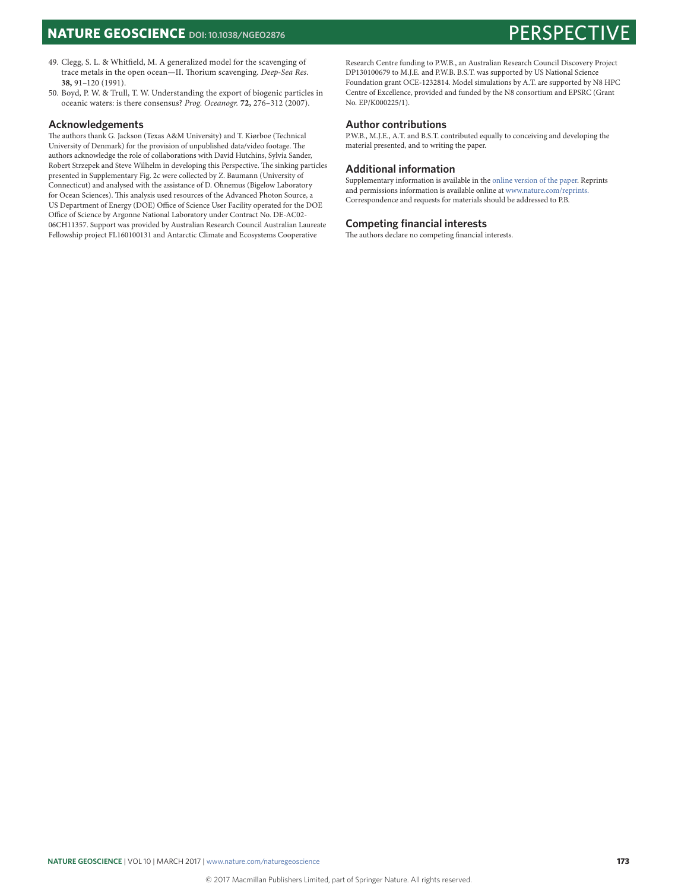- 49. Clegg, S. L. & Whitfield, M. A generalized model for the scavenging of trace metals in the open ocean—II. Thorium scavenging. *Deep-Sea Res*. **38,** 91–120 (1991).
- 50. Boyd, P. W. & Trull, T. W. Understanding the export of biogenic particles in oceanic waters: is there consensus? *Prog. Oceanogr.* **72,** 276–312 (2007).

### **Acknowledgements**

The authors thank G. Jackson (Texas A&M University) and T. Kiørboe (Technical University of Denmark) for the provision of unpublished data/video footage. The authors acknowledge the role of collaborations with David Hutchins, Sylvia Sander, Robert Strzepek and Steve Wilhelm in developing this Perspective. The sinking particles presented in Supplementary Fig. 2c were collected by Z. Baumann (University of Connecticut) and analysed with the assistance of D. Ohnemus (Bigelow Laboratory for Ocean Sciences). This analysis used resources of the Advanced Photon Source, a US Department of Energy (DOE) Office of Science User Facility operated for the DOE Office of Science by Argonne National Laboratory under Contract No. DE-AC02- 06CH11357. Support was provided by Australian Research Council Australian Laureate Fellowship project FL160100131 and Antarctic Climate and Ecosystems Cooperative

Research Centre funding to P.W.B., an Australian Research Council Discovery Project DP130100679 to M.J.E. and P.W.B. B.S.T. was supported by US National Science Foundation grant OCE-1232814. Model simulations by A.T. are supported by N8 HPC Centre of Excellence, provided and funded by the N8 consortium and EPSRC (Grant No. EP/K000225/1).

### **Author contributions**

P.W.B., M.J.E., A.T. and B.S.T. contributed equally to conceiving and developing the material presented, and to writing the paper.

#### **Additional information**

Supplementary information is available in the [online version of the paper](http://dx.doi.org/10.1038/ngeo2876). Reprints and permissions information is available online at www.nature.com/reprints. Correspondence and requests for materials should be addressed to P.B.

#### **Competing financial interests**

The authors declare no competing financial interests.